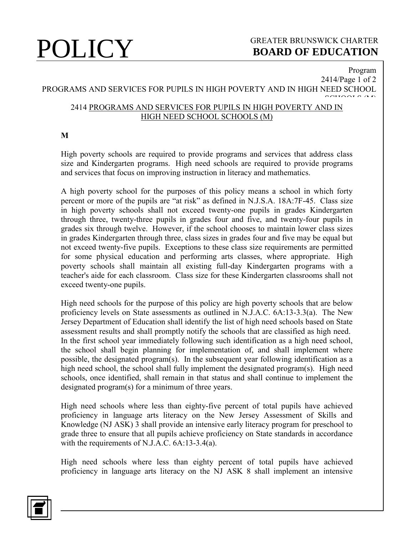# **POLICY** GREATER BRUNSWICK CHARTER<br>BOARD OF EDUCATION **BOARD OF EDUCATION**

Program

### 2414/Page 1 of 2 PROGRAMS AND SERVICES FOR PUPILS IN HIGH POVERTY AND IN HIGH NEED SCHOOL aanoon a ah<br>. 2414 PROGRAMS AND SERVICES FOR PUPILS IN HIGH POVERTY AND IN HIGH NEED SCHOOL SCHOOLS (M)

## **M**

High poverty schools are required to provide programs and services that address class size and Kindergarten programs. High need schools are required to provide programs and services that focus on improving instruction in literacy and mathematics.

A high poverty school for the purposes of this policy means a school in which forty percent or more of the pupils are "at risk" as defined in N.J.S.A. 18A:7F-45. Class size in high poverty schools shall not exceed twenty-one pupils in grades Kindergarten through three, twenty-three pupils in grades four and five, and twenty-four pupils in grades six through twelve. However, if the school chooses to maintain lower class sizes in grades Kindergarten through three, class sizes in grades four and five may be equal but not exceed twenty-five pupils. Exceptions to these class size requirements are permitted for some physical education and performing arts classes, where appropriate. High poverty schools shall maintain all existing full-day Kindergarten programs with a teacher's aide for each classroom. Class size for these Kindergarten classrooms shall not exceed twenty-one pupils.

High need schools for the purpose of this policy are high poverty schools that are below proficiency levels on State assessments as outlined in N.J.A.C. 6A:13-3.3(a). The New Jersey Department of Education shall identify the list of high need schools based on State assessment results and shall promptly notify the schools that are classified as high need. In the first school year immediately following such identification as a high need school, the school shall begin planning for implementation of, and shall implement where possible, the designated program(s). In the subsequent year following identification as a high need school, the school shall fully implement the designated program(s). High need schools, once identified, shall remain in that status and shall continue to implement the designated program(s) for a minimum of three years.

High need schools where less than eighty-five percent of total pupils have achieved proficiency in language arts literacy on the New Jersey Assessment of Skills and Knowledge (NJ ASK) 3 shall provide an intensive early literacy program for preschool to grade three to ensure that all pupils achieve proficiency on State standards in accordance with the requirements of N.J.A.C. 6A:13-3.4(a).

High need schools where less than eighty percent of total pupils have achieved proficiency in language arts literacy on the NJ ASK 8 shall implement an intensive